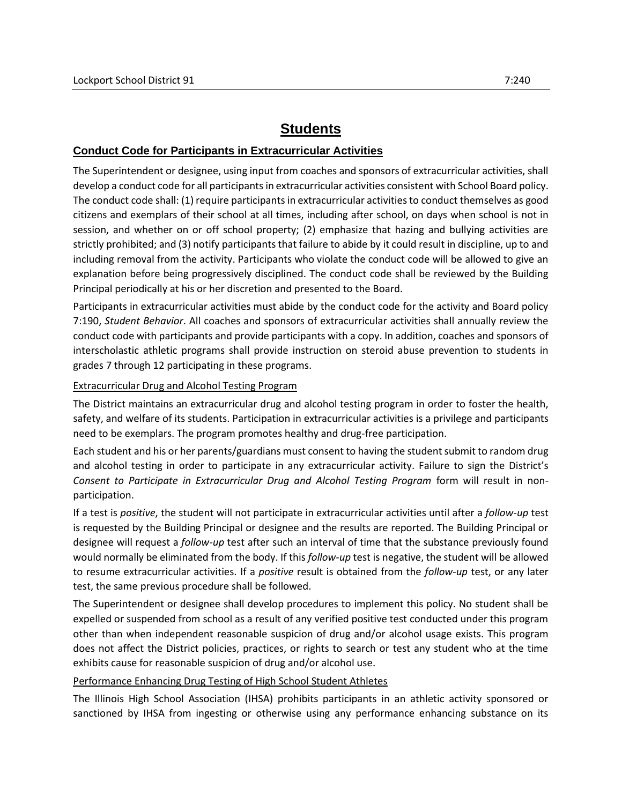## **Students**

## **Conduct Code for Participants in Extracurricular Activities**

The Superintendent or designee, using input from coaches and sponsors of extracurricular activities, shall develop a conduct code for all participants in extracurricular activities consistent with School Board policy. The conduct code shall: (1) require participants in extracurricular activities to conduct themselves as good citizens and exemplars of their school at all times, including after school, on days when school is not in session, and whether on or off school property; (2) emphasize that hazing and bullying activities are strictly prohibited; and (3) notify participants that failure to abide by it could result in discipline, up to and including removal from the activity. Participants who violate the conduct code will be allowed to give an explanation before being progressively disciplined. The conduct code shall be reviewed by the Building Principal periodically at his or her discretion and presented to the Board.

Participants in extracurricular activities must abide by the conduct code for the activity and Board policy 7:190, *Student Behavior*. All coaches and sponsors of extracurricular activities shall annually review the conduct code with participants and provide participants with a copy. In addition, coaches and sponsors of interscholastic athletic programs shall provide instruction on steroid abuse prevention to students in grades 7 through 12 participating in these programs.

## Extracurricular Drug and Alcohol Testing Program

The District maintains an extracurricular drug and alcohol testing program in order to foster the health, safety, and welfare of its students. Participation in extracurricular activities is a privilege and participants need to be exemplars. The program promotes healthy and drug-free participation.

Each student and his or her parents/guardians must consent to having the student submit to random drug and alcohol testing in order to participate in any extracurricular activity. Failure to sign the District's *Consent to Participate in Extracurricular Drug and Alcohol Testing Program* form will result in nonparticipation.

If a test is *positive*, the student will not participate in extracurricular activities until after a *follow-up* test is requested by the Building Principal or designee and the results are reported. The Building Principal or designee will request a *follow-up* test after such an interval of time that the substance previously found would normally be eliminated from the body. If this *follow-up* test is negative, the student will be allowed to resume extracurricular activities. If a *positive* result is obtained from the *follow-up* test, or any later test, the same previous procedure shall be followed.

The Superintendent or designee shall develop procedures to implement this policy. No student shall be expelled or suspended from school as a result of any verified positive test conducted under this program other than when independent reasonable suspicion of drug and/or alcohol usage exists. This program does not affect the District policies, practices, or rights to search or test any student who at the time exhibits cause for reasonable suspicion of drug and/or alcohol use.

## Performance Enhancing Drug Testing of High School Student Athletes

The Illinois High School Association (IHSA) prohibits participants in an athletic activity sponsored or sanctioned by IHSA from ingesting or otherwise using any performance enhancing substance on its